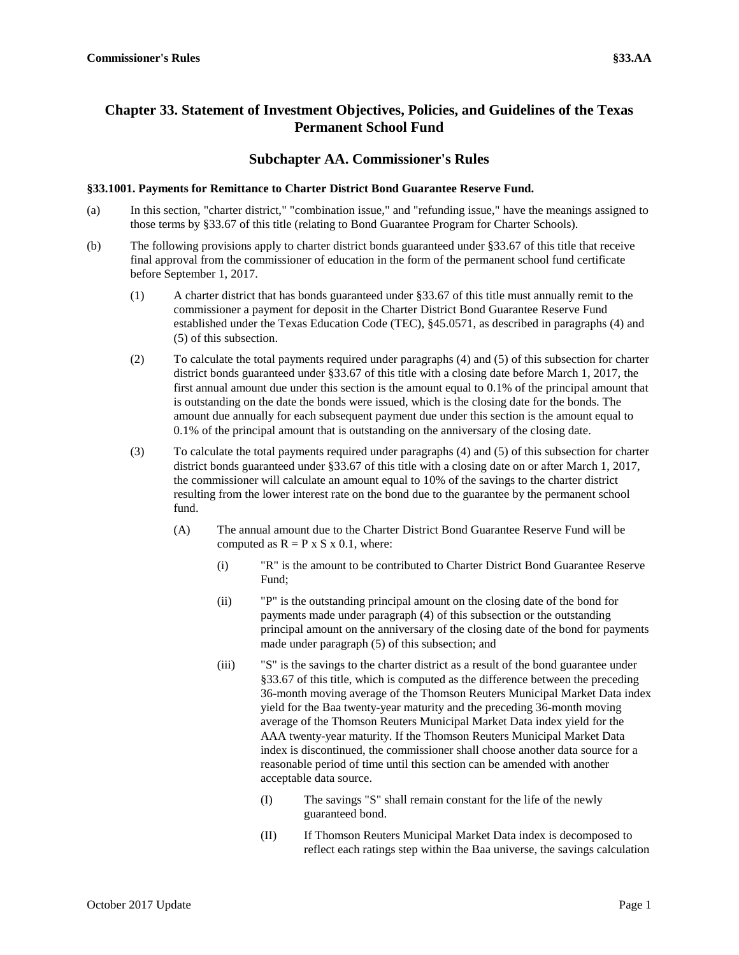## **Chapter 33. Statement of Investment Objectives, Policies, and Guidelines of the Texas Permanent School Fund**

## **Subchapter AA. Commissioner's Rules**

## **§33.1001. Payments for Remittance to Charter District Bond Guarantee Reserve Fund.**

- (a) In this section, "charter district," "combination issue," and "refunding issue," have the meanings assigned to those terms by §33.67 of this title (relating to Bond Guarantee Program for Charter Schools).
- (b) The following provisions apply to charter district bonds guaranteed under §33.67 of this title that receive final approval from the commissioner of education in the form of the permanent school fund certificate before September 1, 2017.
	- (1) A charter district that has bonds guaranteed under §33.67 of this title must annually remit to the commissioner a payment for deposit in the Charter District Bond Guarantee Reserve Fund established under the Texas Education Code (TEC), §45.0571, as described in paragraphs (4) and (5) of this subsection.
	- (2) To calculate the total payments required under paragraphs (4) and (5) of this subsection for charter district bonds guaranteed under §33.67 of this title with a closing date before March 1, 2017, the first annual amount due under this section is the amount equal to 0.1% of the principal amount that is outstanding on the date the bonds were issued, which is the closing date for the bonds. The amount due annually for each subsequent payment due under this section is the amount equal to 0.1% of the principal amount that is outstanding on the anniversary of the closing date.
	- (3) To calculate the total payments required under paragraphs (4) and (5) of this subsection for charter district bonds guaranteed under §33.67 of this title with a closing date on or after March 1, 2017, the commissioner will calculate an amount equal to 10% of the savings to the charter district resulting from the lower interest rate on the bond due to the guarantee by the permanent school fund.
		- (A) The annual amount due to the Charter District Bond Guarantee Reserve Fund will be computed as  $R = P \times S \times 0.1$ , where:
			- (i) "R" is the amount to be contributed to Charter District Bond Guarantee Reserve Fund;
			- (ii) "P" is the outstanding principal amount on the closing date of the bond for payments made under paragraph (4) of this subsection or the outstanding principal amount on the anniversary of the closing date of the bond for payments made under paragraph (5) of this subsection; and
			- (iii) "S" is the savings to the charter district as a result of the bond guarantee under §33.67 of this title, which is computed as the difference between the preceding 36-month moving average of the Thomson Reuters Municipal Market Data index yield for the Baa twenty-year maturity and the preceding 36-month moving average of the Thomson Reuters Municipal Market Data index yield for the AAA twenty-year maturity. If the Thomson Reuters Municipal Market Data index is discontinued, the commissioner shall choose another data source for a reasonable period of time until this section can be amended with another acceptable data source.
				- (I) The savings "S" shall remain constant for the life of the newly guaranteed bond.
				- (II) If Thomson Reuters Municipal Market Data index is decomposed to reflect each ratings step within the Baa universe, the savings calculation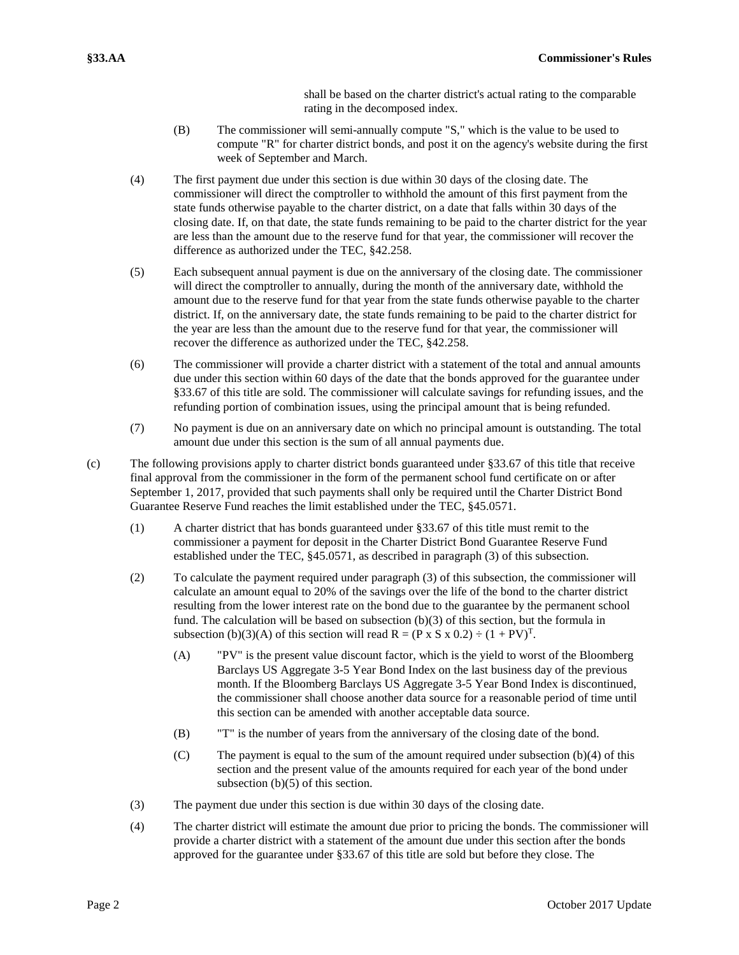shall be based on the charter district's actual rating to the comparable rating in the decomposed index.

- (B) The commissioner will semi-annually compute "S," which is the value to be used to compute "R" for charter district bonds, and post it on the agency's website during the first week of September and March.
- (4) The first payment due under this section is due within 30 days of the closing date. The commissioner will direct the comptroller to withhold the amount of this first payment from the state funds otherwise payable to the charter district, on a date that falls within 30 days of the closing date. If, on that date, the state funds remaining to be paid to the charter district for the year are less than the amount due to the reserve fund for that year, the commissioner will recover the difference as authorized under the TEC, §42.258.
- (5) Each subsequent annual payment is due on the anniversary of the closing date. The commissioner will direct the comptroller to annually, during the month of the anniversary date, withhold the amount due to the reserve fund for that year from the state funds otherwise payable to the charter district. If, on the anniversary date, the state funds remaining to be paid to the charter district for the year are less than the amount due to the reserve fund for that year, the commissioner will recover the difference as authorized under the TEC, §42.258.
- (6) The commissioner will provide a charter district with a statement of the total and annual amounts due under this section within 60 days of the date that the bonds approved for the guarantee under §33.67 of this title are sold. The commissioner will calculate savings for refunding issues, and the refunding portion of combination issues, using the principal amount that is being refunded.
- (7) No payment is due on an anniversary date on which no principal amount is outstanding. The total amount due under this section is the sum of all annual payments due.
- (c) The following provisions apply to charter district bonds guaranteed under §33.67 of this title that receive final approval from the commissioner in the form of the permanent school fund certificate on or after September 1, 2017, provided that such payments shall only be required until the Charter District Bond Guarantee Reserve Fund reaches the limit established under the TEC, §45.0571.
	- (1) A charter district that has bonds guaranteed under §33.67 of this title must remit to the commissioner a payment for deposit in the Charter District Bond Guarantee Reserve Fund established under the TEC, §45.0571, as described in paragraph (3) of this subsection.
	- (2) To calculate the payment required under paragraph (3) of this subsection, the commissioner will calculate an amount equal to 20% of the savings over the life of the bond to the charter district resulting from the lower interest rate on the bond due to the guarantee by the permanent school fund. The calculation will be based on subsection (b)(3) of this section, but the formula in subsection (b)(3)(A) of this section will read R = (P x S x 0.2)  $\div$  (1 + PV)<sup>T</sup>.
		- (A) "PV" is the present value discount factor, which is the yield to worst of the Bloomberg Barclays US Aggregate 3-5 Year Bond Index on the last business day of the previous month. If the Bloomberg Barclays US Aggregate 3-5 Year Bond Index is discontinued, the commissioner shall choose another data source for a reasonable period of time until this section can be amended with another acceptable data source.
		- (B) "T" is the number of years from the anniversary of the closing date of the bond.
		- (C) The payment is equal to the sum of the amount required under subsection (b)(4) of this section and the present value of the amounts required for each year of the bond under subsection (b)(5) of this section.
	- (3) The payment due under this section is due within 30 days of the closing date.
	- (4) The charter district will estimate the amount due prior to pricing the bonds. The commissioner will provide a charter district with a statement of the amount due under this section after the bonds approved for the guarantee under §33.67 of this title are sold but before they close. The